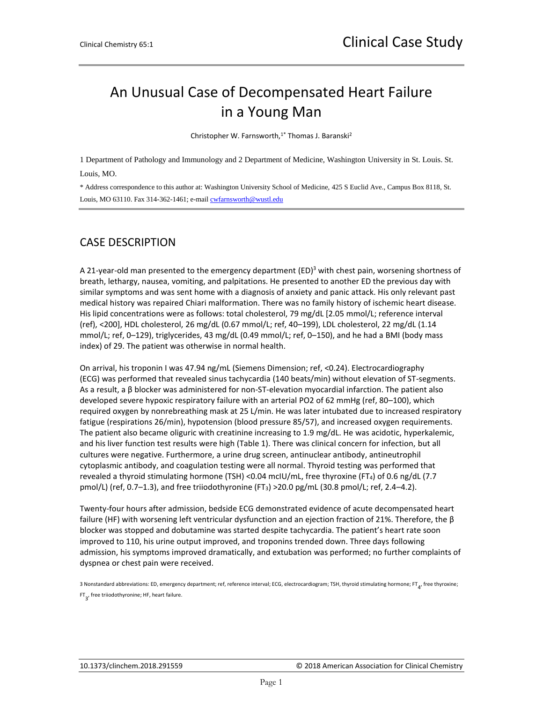# An Unusual Case of Decompensated Heart Failure in a Young Man

Christopher W. Farnsworth,<sup>1\*</sup> Thomas J. Baranski<sup>2</sup>

1 Department of Pathology and Immunology and 2 Department of Medicine, Washington University in St. Louis. St. Louis, MO.

\* Address correspondence to this author at: Washington University School of Medicine, 425 S Euclid Ave., Campus Box 8118, St. Louis, MO 63110. Fax 314-362-1461; e-mail [cwfarnsworth@wustl.edu](mailto:cwfarnsworth@wustl.edu)

# CASE DESCRIPTION

A 21-year-old man presented to the emergency department (ED)<sup>3</sup> with chest pain, worsening shortness of breath, lethargy, nausea, vomiting, and palpitations. He presented to another ED the previous day with similar symptoms and was sent home with a diagnosis of anxiety and panic attack. His only relevant past medical history was repaired Chiari malformation. There was no family history of ischemic heart disease. His lipid concentrations were as follows: total cholesterol, 79 mg/dL [2.05 mmol/L; reference interval (ref), <200], HDL cholesterol, 26 mg/dL (0.67 mmol/L; ref, 40–199), LDL cholesterol, 22 mg/dL (1.14 mmol/L; ref, 0–129), triglycerides, 43 mg/dL (0.49 mmol/L; ref, 0–150), and he had a BMI (body mass index) of 29. The patient was otherwise in normal health.

On arrival, his troponin I was 47.94 ng/mL (Siemens Dimension; ref, <0.24). Electrocardiography (ECG) was performed that revealed sinus tachycardia (140 beats/min) without elevation of ST-segments. As a result, a β blocker was administered for non-ST-elevation myocardial infarction. The patient also developed severe hypoxic respiratory failure with an arterial PO2 of 62 mmHg (ref, 80–100), which required oxygen by nonrebreathing mask at 25 L/min. He was later intubated due to increased respiratory fatigue (respirations 26/min), hypotension (blood pressure 85/57), and increased oxygen requirements. The patient also became oliguric with creatinine increasing to 1.9 mg/dL. He was acidotic, hyperkalemic, and his liver function test results were high (Table 1). There was clinical concern for infection, but all cultures were negative. Furthermore, a urine drug screen, antinuclear antibody, antineutrophil cytoplasmic antibody, and coagulation testing were all normal. Thyroid testing was performed that revealed a thyroid stimulating hormone (TSH) <0.04 mcIU/mL, free thyroxine (FT4) of 0.6 ng/dL (7.7 pmol/L) (ref, 0.7–1.3), and free triiodothyronine (FT3) >20.0 pg/mL (30.8 pmol/L; ref, 2.4–4.2).

Twenty-four hours after admission, bedside ECG demonstrated evidence of acute decompensated heart failure (HF) with worsening left ventricular dysfunction and an ejection fraction of 21%. Therefore, the β blocker was stopped and dobutamine was started despite tachycardia. The patient's heart rate soon improved to 110, his urine output improved, and troponins trended down. Three days following admission, his symptoms improved dramatically, and extubation was performed; no further complaints of dyspnea or chest pain were received.

3 Nonstandard abbreviations: ED, emergency department; ref, reference interval; ECG, electrocardiogram; TSH, thyroid stimulating hormone; FT<sub>4</sub>, free thyroxine; FT<sub>3</sub>, free triiodothyronine; HF, heart failure.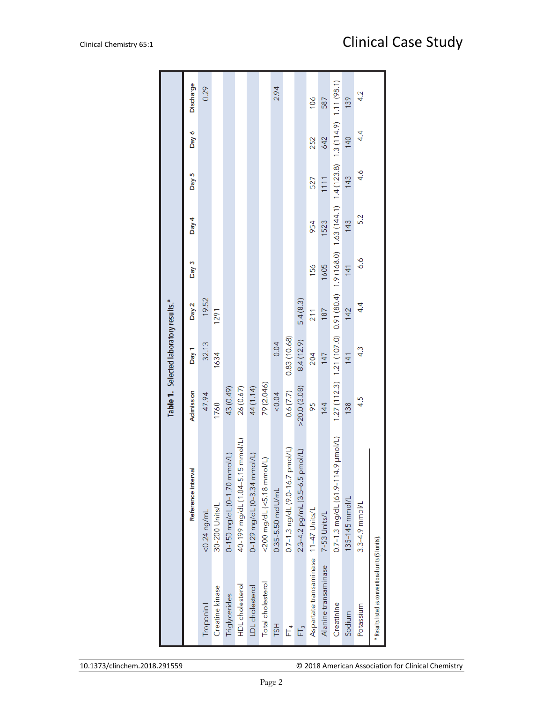|                                                    |                                            |             | Table 1. Selected laboratory results. <sup>ª</sup> |          |       |                                                                                                                          |                  |              |           |
|----------------------------------------------------|--------------------------------------------|-------------|----------------------------------------------------|----------|-------|--------------------------------------------------------------------------------------------------------------------------|------------------|--------------|-----------|
|                                                    | Reference interval                         | Admission   | Day 1                                              | Day 2    | Day 3 | Day 4                                                                                                                    | Day <sub>5</sub> | <b>Day 6</b> | Discharge |
| Troponin                                           | $<$ 0.24 ng/mL                             | 47.94       | 32.13                                              | 19.52    |       |                                                                                                                          |                  |              | 0.29      |
| Creatine kinase                                    | 30-200 Units/L                             | 1760        | 1634                                               | 1291     |       |                                                                                                                          |                  |              |           |
| Triglycerides                                      | 0-150 mg/dL (0-1.70 mmol/L)                | 43 (0.49)   |                                                    |          |       |                                                                                                                          |                  |              |           |
| <b>HDL</b> cholesterol                             | 40-199 mg/dL (1.04-5.15 mmol/L)            | 26 (0.67)   |                                                    |          |       |                                                                                                                          |                  |              |           |
| LDL cholesterol                                    | $0-129$ mg/dL $(0-3.34$ mmol/L)            | 44 (1.14)   |                                                    |          |       |                                                                                                                          |                  |              |           |
| Total cholesterol                                  | <200 mg/dL (<5.18 mmol/L)                  | 79 (2.046)  |                                                    |          |       |                                                                                                                          |                  |              |           |
| <b>TSH</b>                                         | $0.35 - 5.50$ mcl $U/mL$                   | 0.04        | 0.04                                               |          |       |                                                                                                                          |                  |              | 2.94      |
| F,                                                 | 0.7-1.3 ng/dL (9.0-16.7 pmol/L)            | 0.6(7.7)    | 0.83(10.68)                                        |          |       |                                                                                                                          |                  |              |           |
| Ę                                                  | 2.3-4.2 pg/mL (3.5-6.5 pmol/L)             | >20.0(3.08) | 8.4(12.9)                                          | 5.4(8.3) |       |                                                                                                                          |                  |              |           |
| Aspartate transaminase 11-47 Units/L               |                                            | 95          | 204                                                | 211      | 156   | 954                                                                                                                      | 527              | 252          | 106       |
| Alanine transaminase                               | 7-53 Units/L                               | 144         | 147                                                | 187      | 1605  | 1523                                                                                                                     | 1111             | 642          | 587       |
| Creatinine                                         | $0.7 - 1.3$ mg/dL (61.9-114.9 $\mu$ mol/L) |             |                                                    |          |       | 1.27 (112.3) 1.21 (12.5) 1.21 (12.69 (12.69 (12.69 (12.69 (12.69 1.44.1) 1.4 (14.4.1) 1.4 (12.5) 1.21 (12.5) 1.21 (12.5) |                  |              |           |
| Sodium                                             | 135-145 mmol/L                             | 138         | 141                                                | 142      | 141   | 143                                                                                                                      | 143              | 140          | 139       |
| Potassium                                          | $3.3 - 4.9$ mmol/L                         | 4.5         | $4.\overline{3}$                                   | 4.4      | 6.6   | 5.2                                                                                                                      | 4.6              | 4.4          | 4.2       |
| a Results listed as conventional units (SI units). |                                            |             |                                                    |          |       |                                                                                                                          |                  |              |           |
|                                                    |                                            |             |                                                    |          |       |                                                                                                                          |                  |              |           |

10.1373/clinchem.2018.291559 © 2018 American Association for Clinical Chemistry